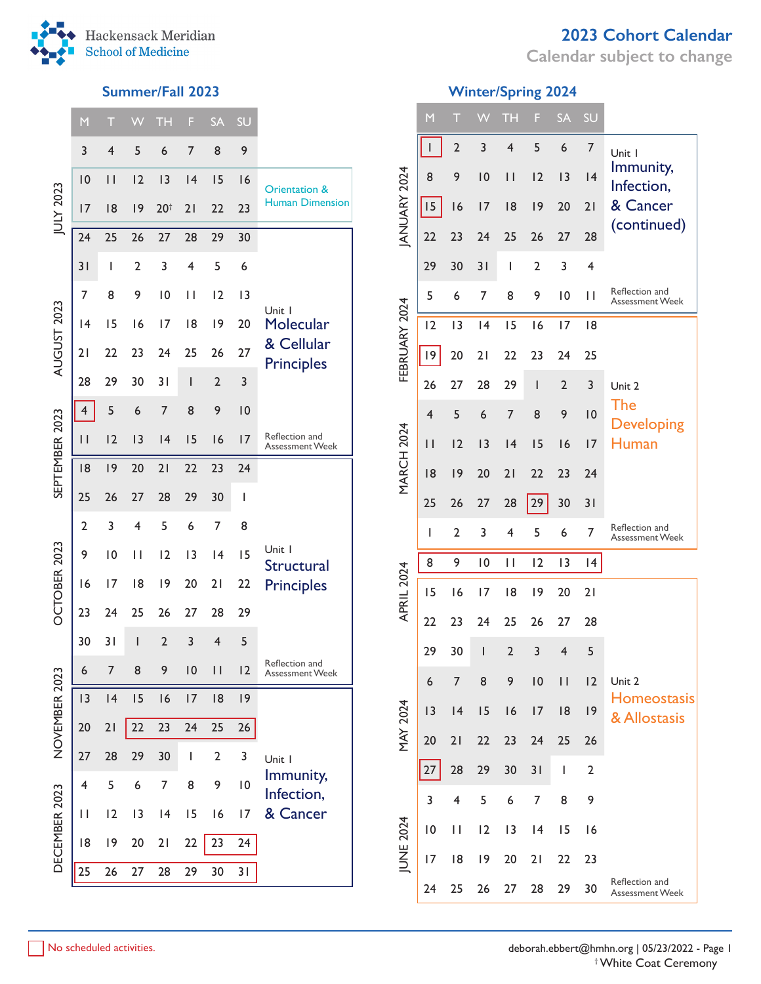

**Calendar subject to change**



|                | M              | Т                       |                         | <b>TH</b>       | F                        | <b>SA</b>      | SU              |                                   |
|----------------|----------------|-------------------------|-------------------------|-----------------|--------------------------|----------------|-----------------|-----------------------------------|
|                | 3              | $\overline{\mathbf{4}}$ | 5                       | 6               | $\overline{7}$           | 8              | 9               |                                   |
|                | 10             | $\mathbf{I}$            | 12                      | 13              | 4                        | 15             | 16              | Orientation &                     |
| JULY 2023      | 17             | 18                      | 19                      | 20 <sup>†</sup> | 21                       | 22             | 23              | <b>Human Dimension</b>            |
|                | 24             | 25                      | 26                      | 27              | 28                       | 29             | 30              |                                   |
|                | 31             | Ī                       | $\overline{2}$          | 3               | 4                        | 5              | 6               |                                   |
|                | 7              | 8                       | 9                       | $\overline{0}$  | П                        | 12             | 3               |                                   |
|                | 4              | 15                      | 16                      | 17              | 18                       | 9              | 20              | Unit I<br>Molecular               |
| AUGUST 2023    | 21             | 22                      | 23                      | 24              | 25                       | 26             | 27              | & Cellular<br><b>Principles</b>   |
|                | 28             | 29                      | 30                      | 31              | $\overline{\phantom{a}}$ | $\overline{2}$ | 3               |                                   |
|                | 4              | 5                       | 6                       | $\overline{7}$  | 8                        | 9              | 10              |                                   |
| SEPTEMBER 2023 | П              | 12                      | 13                      | 4               | 15                       | 16             | 17              | Reflection and<br>Assessment Week |
|                | 18             | 9                       | 20                      | 21              | 22                       | 23             | 24              |                                   |
|                | 25             | 26                      | 27                      | 28              | 29                       | 30             | I               |                                   |
|                | $\overline{2}$ | 3                       | $\overline{\mathbf{4}}$ | 5               | 6                        | 7              | 8               |                                   |
|                | 9              | 10                      | П                       | 12              | 13                       | 4              | 15              | Unit I<br>Structural              |
| OCTOBER 2023   | 16             | 17                      | 18                      | 9               | 20                       | 21             | 22              | <b>Principles</b>                 |
|                | 23             | 24                      | 25                      | 26              | 27                       | 28             | 29              |                                   |
|                | 30             | 31                      | ı                       | $\overline{2}$  | 3                        | $\overline{4}$ | 5               |                                   |
|                | 6              | 7                       | 8                       | 9               | $\overline{10}$          | П.             | 2               | Reflection and<br>Assessment Week |
| NOVEMBER 2023  | 3              | 4                       | 15                      | 16              | 17                       | 18             | 9               |                                   |
|                | 20             | 21                      | 22                      | 23              | 24                       | 25             | 26              |                                   |
|                | 27             | 28                      | 29                      | 30              | I                        | $\overline{2}$ | 3               | Unit I                            |
|                | 4              | 5                       | 6                       | 7               | 8                        | 9              | $\overline{10}$ | Immunity,<br>Infection,           |
|                | П              | 2                       | 3                       | 4               | 15                       | 16             | 17              | & Cancer                          |
| DECEMBER 2023  | 18             | 9                       | 20                      | 21              | 22                       | 23             | 24              |                                   |
|                | 25             | 26                      | 27                      | 28              | 29                       | 30             | 31              |                                   |

# **Summer/Fall 2023 Winter/Spring 2024**

|                   | M                        | Т              |    | <b>TH</b>               | F                        | <b>SA</b>      | SU             |                                          |
|-------------------|--------------------------|----------------|----|-------------------------|--------------------------|----------------|----------------|------------------------------------------|
|                   | $\sf I$                  | $\overline{2}$ | 3  | $\overline{\mathbf{4}}$ | 5                        | 6              | 7              | Unit I                                   |
|                   | 8                        | 9              | 10 | П                       | 12                       | 13             | 4              | Immunity,<br>Infection,                  |
| JANUARY 2024      | 15                       | 16             | 17 | 18                      | 9                        | 20             | 21             | & Cancer                                 |
|                   | 22                       | 23             | 24 | 25                      | 26                       | 27             | 28             | (continued)                              |
|                   | 29                       | 30             | 31 | I                       | $\overline{2}$           | 3              | 4              |                                          |
|                   | 5                        | 6              | 7  | 8                       | 9                        | $\overline{0}$ | П              | Reflection and<br><b>Assessment Week</b> |
| FEBRUARY 2024     | 12                       | 3              | 4  | 15                      | 16                       | 17             | 18             |                                          |
|                   | 9                        | 20             | 21 | 22                      | 23                       | 24             | 25             |                                          |
|                   | 26                       | 27             | 28 | 29                      | $\overline{\phantom{a}}$ | $\overline{2}$ | 3              | Unit 2                                   |
|                   | 4                        | 5              | 6  | 7                       | 8                        | 9              | 10             | The<br><b>Developing</b>                 |
|                   | $\overline{\phantom{a}}$ | 12             | 13 | 4                       | 15                       | 16             | 17             | Human                                    |
| <b>MARCH 2024</b> | 18                       | 9              | 20 | 21                      | 22                       | 23             | 24             |                                          |
|                   | 25                       | 26             | 27 | 28                      | 29                       | 30             | 31             |                                          |
|                   | ı                        | $\overline{2}$ | 3  | 4                       | 5                        | 6              | 7              | Reflection and<br><b>Assessment Week</b> |
|                   | 8                        | 9              | 10 | П                       | 12                       | 3              | 4              |                                          |
| APRIL 2024        | 15                       | 16             | 17 | 18                      | 19                       | 20             | 21             |                                          |
|                   | 22                       | 23             | 24 | 25                      | 26                       | 27             | 28             |                                          |
|                   | 29                       | 30             | I  | $\overline{2}$          | 3                        | $\overline{4}$ | 5              |                                          |
|                   | 6                        | $\overline{7}$ | 8  | 9                       | 10                       | П              | 12             | Unit 2                                   |
|                   | 13                       | 4              | 15 | 16                      | 17                       | 18             | 19             | <b>Homeostasis</b><br>& Allostasis       |
| MAY 2024          | 20                       | 21             | 22 | 23                      | 24                       | 25             | 26             |                                          |
|                   | 27                       | 28             | 29 | 30                      | 31                       | I              | $\overline{2}$ |                                          |
|                   | 3                        | $\overline{4}$ | 5  | 6                       | 7                        | 8              | 9              |                                          |
|                   | $\overline{0}$           | П              | 12 | 3                       | 4                        | 15             | 16             |                                          |
| <b>JUNE 2024</b>  | 17                       | 18             | 19 | 20                      | 21                       | 22             | 23             |                                          |
|                   | 24                       | 25             | 26 | 27                      | 28                       | 29             | 30             | Reflection and<br><b>Assessment Week</b> |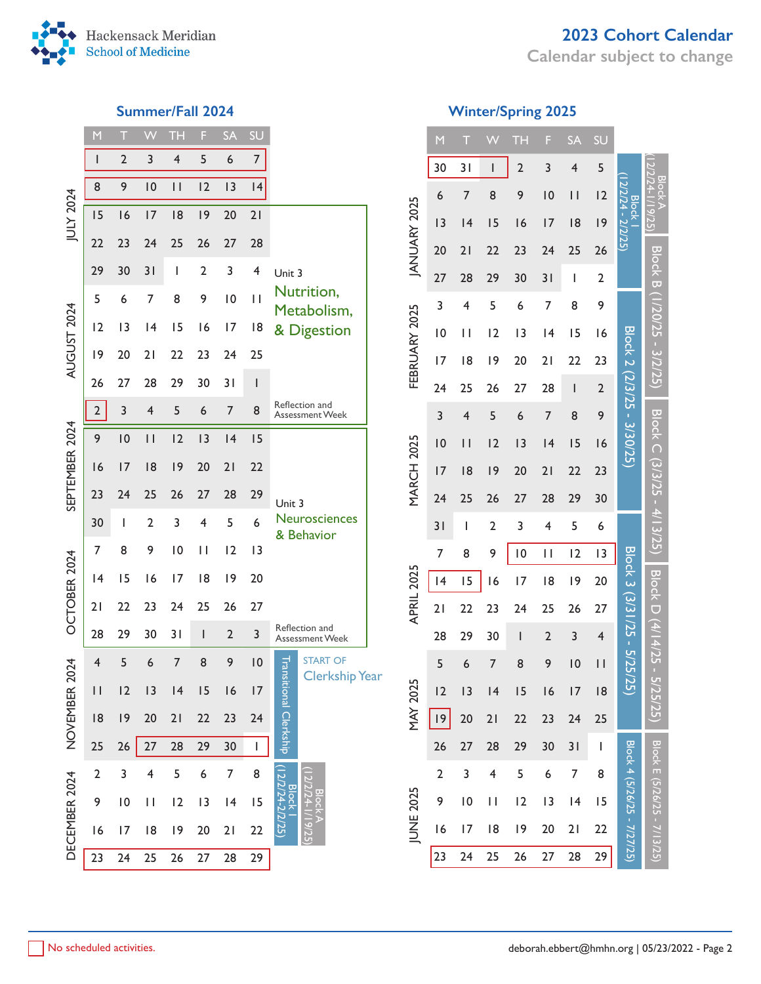

**Calendar subject to change**



| M                       | Ţ               |                         | TH             | F                                                                                                                                                                                                                                                                                                                                                                                | <b>SA</b>      | SU                       |                                          |                                                                                                                                        |
|-------------------------|-----------------|-------------------------|----------------|----------------------------------------------------------------------------------------------------------------------------------------------------------------------------------------------------------------------------------------------------------------------------------------------------------------------------------------------------------------------------------|----------------|--------------------------|------------------------------------------|----------------------------------------------------------------------------------------------------------------------------------------|
| I                       | $\overline{2}$  | 3                       | $\overline{4}$ | 5                                                                                                                                                                                                                                                                                                                                                                                | 6              | $\overline{7}$           |                                          |                                                                                                                                        |
| 8                       | 9               | 10                      | П              | 12                                                                                                                                                                                                                                                                                                                                                                               | 13             | 4                        |                                          |                                                                                                                                        |
| 15                      | 16              | 17                      | 18             | 9                                                                                                                                                                                                                                                                                                                                                                                | 20             | 21                       |                                          |                                                                                                                                        |
| 22                      | 23              | 24                      | 25             | 26                                                                                                                                                                                                                                                                                                                                                                               | 27             | 28                       |                                          |                                                                                                                                        |
| 29                      | 30              | 31                      | I              | $\overline{2}$                                                                                                                                                                                                                                                                                                                                                                   | 3              | $\overline{\mathbf{4}}$  | Unit 3                                   |                                                                                                                                        |
| 5                       | 6               | 7                       | 8              | 9                                                                                                                                                                                                                                                                                                                                                                                | 10             | П                        | Nutrition,                               |                                                                                                                                        |
| 12                      | 13              | 4                       | 15             | 16                                                                                                                                                                                                                                                                                                                                                                               | 17             | 18                       |                                          |                                                                                                                                        |
| 9                       | 20              | 21                      | 22             | 23                                                                                                                                                                                                                                                                                                                                                                               | 24             | 25                       |                                          |                                                                                                                                        |
| 26                      | 27              | 28                      | 29             | 30                                                                                                                                                                                                                                                                                                                                                                               | 31             | $\overline{\phantom{a}}$ |                                          |                                                                                                                                        |
| $\overline{2}$          | $\overline{3}$  | $\overline{\mathbf{4}}$ | 5              | 6                                                                                                                                                                                                                                                                                                                                                                                | 7              | 8                        | Reflection and<br><b>Assessment Week</b> |                                                                                                                                        |
| 9                       | 10              | $\vert \vert$           | 12             | 3                                                                                                                                                                                                                                                                                                                                                                                | 4              | 15                       |                                          |                                                                                                                                        |
| 16                      | 17              | 8                       | 19             | 20                                                                                                                                                                                                                                                                                                                                                                               | 21             | 22                       |                                          |                                                                                                                                        |
| 23                      | 24              | 25                      | 26             | 27                                                                                                                                                                                                                                                                                                                                                                               | 28             | 29                       |                                          |                                                                                                                                        |
| 30                      | I               | $\overline{2}$          | 3              | $\overline{4}$                                                                                                                                                                                                                                                                                                                                                                   | 5              | 6                        | Neurosciences                            |                                                                                                                                        |
| 7                       | 8               | 9                       | 10             | П                                                                                                                                                                                                                                                                                                                                                                                | 12             | 3                        |                                          |                                                                                                                                        |
| 4                       | 15              | 16                      | 17             | 18                                                                                                                                                                                                                                                                                                                                                                               | 19             | 20                       |                                          |                                                                                                                                        |
| 21                      | 22              | 23                      | 24             | 25                                                                                                                                                                                                                                                                                                                                                                               | 26             | 27                       |                                          |                                                                                                                                        |
| 28                      | 29              | 30                      | 31             | $\begin{array}{c} \rule{0pt}{2.5ex} \rule{0pt}{2.5ex} \rule{0pt}{2.5ex} \rule{0pt}{2.5ex} \rule{0pt}{2.5ex} \rule{0pt}{2.5ex} \rule{0pt}{2.5ex} \rule{0pt}{2.5ex} \rule{0pt}{2.5ex} \rule{0pt}{2.5ex} \rule{0pt}{2.5ex} \rule{0pt}{2.5ex} \rule{0pt}{2.5ex} \rule{0pt}{2.5ex} \rule{0pt}{2.5ex} \rule{0pt}{2.5ex} \rule{0pt}{2.5ex} \rule{0pt}{2.5ex} \rule{0pt}{2.5ex} \rule{0$ | $\overline{2}$ | 3                        | Reflection and<br>Assessment Week        |                                                                                                                                        |
| 4                       | 5               | 6                       | 7              | 8                                                                                                                                                                                                                                                                                                                                                                                | 9              | $\overline{10}$          | <b>START OF</b>                          |                                                                                                                                        |
| $\mathsf{I}$            | 2               | 3                       | 4              | 15                                                                                                                                                                                                                                                                                                                                                                               | 16             | 7                        |                                          |                                                                                                                                        |
| 8                       | 9               | 20                      | 21             | 22                                                                                                                                                                                                                                                                                                                                                                               | 23             | 24                       |                                          |                                                                                                                                        |
| 25                      | 26              | 27                      | 28             | 29                                                                                                                                                                                                                                                                                                                                                                               | 30             | I                        |                                          |                                                                                                                                        |
| $\overline{\mathbf{c}}$ | 3               | 4                       | 5              | 6                                                                                                                                                                                                                                                                                                                                                                                | 7              | 8                        |                                          |                                                                                                                                        |
| 9                       | $\overline{10}$ | П                       | 2              | 3                                                                                                                                                                                                                                                                                                                                                                                | 4              | 15                       | <b>Block</b>                             |                                                                                                                                        |
| $\overline{6}$          | 17              | 8                       | 19             | 20                                                                                                                                                                                                                                                                                                                                                                               | 21             | 22                       |                                          |                                                                                                                                        |
| 23                      | 24              | 25                      | 26             | 27                                                                                                                                                                                                                                                                                                                                                                               | 28             | 29                       |                                          |                                                                                                                                        |
|                         |                 |                         |                |                                                                                                                                                                                                                                                                                                                                                                                  |                |                          |                                          | Metabolism,<br>& Digestion<br>Unit 3<br>& Behavior<br>Transi<br><b>Clerkship Year</b><br>tional Clerkship<br>12/2/24-2/2/25)<br>119/25 |

# **Summer/Fall 2024 Winter/Spring 2025**

|                   | M                       | T                       |                         | ТH                       | F               | SA              | SU                                                                                                                                                                                                                                                                                                                                                                               |                             |                             |
|-------------------|-------------------------|-------------------------|-------------------------|--------------------------|-----------------|-----------------|----------------------------------------------------------------------------------------------------------------------------------------------------------------------------------------------------------------------------------------------------------------------------------------------------------------------------------------------------------------------------------|-----------------------------|-----------------------------|
|                   | 30                      | 31                      | I                       | $\overline{2}$           | 3               | 4               | 5                                                                                                                                                                                                                                                                                                                                                                                |                             |                             |
|                   | 6                       | 7                       | 8                       | 9                        | $\overline{10}$ | П               | 2                                                                                                                                                                                                                                                                                                                                                                                |                             |                             |
|                   | 3                       | 4                       | 15                      | 16                       | 7               | 18              | 9                                                                                                                                                                                                                                                                                                                                                                                | 12/2/24 - 2/2/25)<br>Block  |                             |
| JANUARY 2025      | 20                      | 21                      | 22                      | 23                       | 24              | 25              | 26                                                                                                                                                                                                                                                                                                                                                                               |                             |                             |
|                   | 27                      | 28                      | 29                      | 30                       | 31              | I               | $\overline{\mathbf{c}}$                                                                                                                                                                                                                                                                                                                                                          |                             | <b>Block B</b>              |
|                   | 3                       | 4                       | 5                       | 6                        | 7               | 8               | 9                                                                                                                                                                                                                                                                                                                                                                                |                             |                             |
|                   | $\overline{10}$         | П                       | 2                       | 3                        | 4               | 15              | 16                                                                                                                                                                                                                                                                                                                                                                               |                             |                             |
| FEBRUARY 2025     | 7                       | 18                      | 9                       | 20                       | 21              | 22              | 23                                                                                                                                                                                                                                                                                                                                                                               | Block 2 (2/3/25 - 3/30/25)  |                             |
|                   | 24                      | 25                      | 26                      | 27                       | 28              | I               | $\overline{2}$                                                                                                                                                                                                                                                                                                                                                                   |                             |                             |
|                   | 3                       | $\overline{\mathbf{4}}$ | 5                       | 6                        | 7               | 8               | 9                                                                                                                                                                                                                                                                                                                                                                                |                             |                             |
|                   | $\overline{10}$         | П                       | 2                       | 3                        | 4               | 15              | 16                                                                                                                                                                                                                                                                                                                                                                               |                             |                             |
| <b>MARCH 2025</b> | 7                       | 18                      | 9                       | 20                       | 21              | 22              | 23                                                                                                                                                                                                                                                                                                                                                                               |                             | Block C (3/3/25 -           |
|                   | 24                      | 25                      | 26                      | 27                       | 28              | 29              | 30                                                                                                                                                                                                                                                                                                                                                                               |                             |                             |
|                   | 31                      | I                       | $\overline{2}$          | 3                        | 4               | 5               | 6                                                                                                                                                                                                                                                                                                                                                                                |                             |                             |
|                   | $\overline{7}$          | 8                       | 9                       | $\overline{10}$          | П               | 2               | 3                                                                                                                                                                                                                                                                                                                                                                                |                             |                             |
| APRIL 2025        | 4                       | 15                      | 16                      | 7                        | 18              | 19              | 20                                                                                                                                                                                                                                                                                                                                                                               | Block 3 (3/31/25 -          | <b>Block D</b>              |
|                   | 21                      | 22                      | 23                      | 24                       | 25              | 26              | 27                                                                                                                                                                                                                                                                                                                                                                               |                             |                             |
|                   | 28                      | 29                      | 30                      | $\overline{\phantom{a}}$ | $\overline{2}$  | 3               | 4                                                                                                                                                                                                                                                                                                                                                                                |                             |                             |
|                   | 5                       | 6                       | 7                       | 8                        | 9               | $\overline{10}$ | П                                                                                                                                                                                                                                                                                                                                                                                |                             |                             |
|                   | $\overline{2}$          | $\overline{1}$          | 14                      | 15                       | $\overline{16}$ | 17              | 8                                                                                                                                                                                                                                                                                                                                                                                |                             |                             |
| <b>MAY 202</b>    | $\vert 9$               | 20                      | 21                      | 22                       | 23              | 24              | 25                                                                                                                                                                                                                                                                                                                                                                               |                             |                             |
|                   | 26                      | 27                      | 28                      | 29                       | 30              | 31              | $\begin{array}{c} \rule{0pt}{2.5ex} \rule{0pt}{2.5ex} \rule{0pt}{2.5ex} \rule{0pt}{2.5ex} \rule{0pt}{2.5ex} \rule{0pt}{2.5ex} \rule{0pt}{2.5ex} \rule{0pt}{2.5ex} \rule{0pt}{2.5ex} \rule{0pt}{2.5ex} \rule{0pt}{2.5ex} \rule{0pt}{2.5ex} \rule{0pt}{2.5ex} \rule{0pt}{2.5ex} \rule{0pt}{2.5ex} \rule{0pt}{2.5ex} \rule{0pt}{2.5ex} \rule{0pt}{2.5ex} \rule{0pt}{2.5ex} \rule{0$ |                             |                             |
|                   | $\overline{\mathbf{c}}$ | 3                       | $\overline{\mathbf{4}}$ | 5                        | 6               | $\overline{7}$  | 8                                                                                                                                                                                                                                                                                                                                                                                |                             |                             |
|                   | 9                       | $\overline{10}$         | П                       | 2                        | 3               | 4               | 15                                                                                                                                                                                                                                                                                                                                                                               |                             |                             |
| JUNE 2025         | $\overline{6}$          | 7                       | 18                      | 9                        | 20              | 21              | 22                                                                                                                                                                                                                                                                                                                                                                               | Block 4 (5/26/25 - 7/27/25) | Block E (5/26/25 - 7/13/25) |
|                   | 23                      | 24                      | 25                      | 26                       | 27              | 28              | 29                                                                                                                                                                                                                                                                                                                                                                               |                             |                             |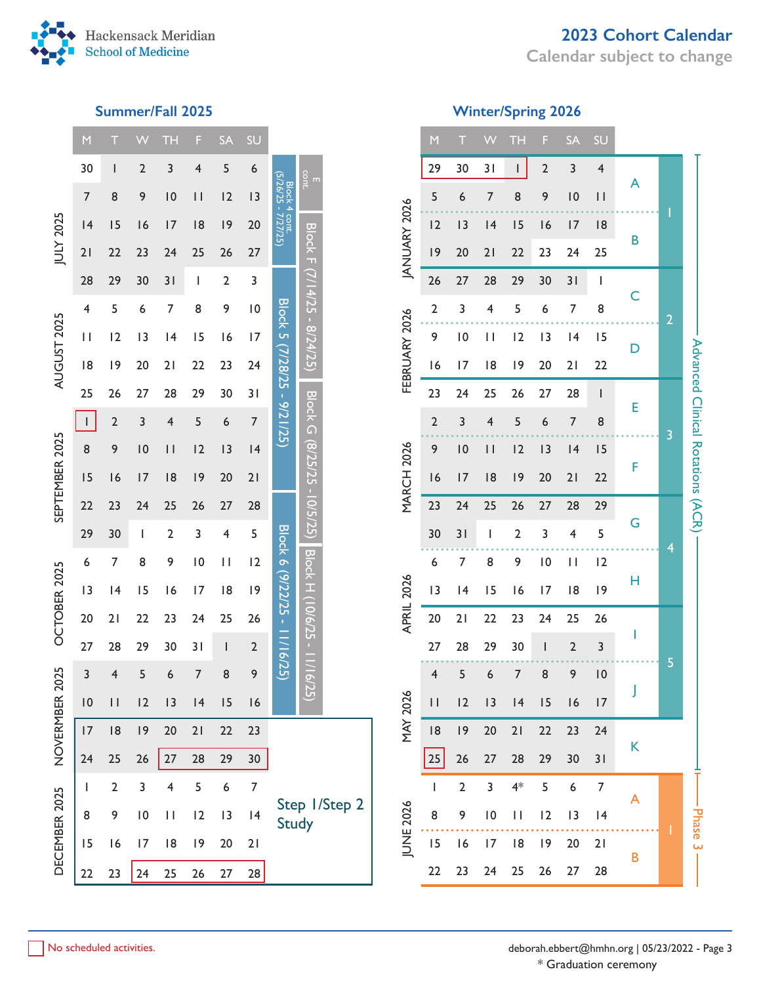# **2023 Cohort Calendar**

**Calendar subject to change**



### **Summer/Fall 2025**

| <b>Ninter/Spring 2026</b> |  |
|---------------------------|--|
|                           |  |

|                | $\mathsf{M}$ |                | W                       | TН           | F                        | <b>SA</b>      | SU             |                                      |                         |                    | M                       |                | W                                                              | TН           | F               | <b>SA</b>      | SU             |   |                |                                   |
|----------------|--------------|----------------|-------------------------|--------------|--------------------------|----------------|----------------|--------------------------------------|-------------------------|--------------------|-------------------------|----------------|----------------------------------------------------------------|--------------|-----------------|----------------|----------------|---|----------------|-----------------------------------|
|                | 30           |                | $\overline{\mathbf{c}}$ | 3            | 4                        | 5              | 6              |                                      |                         |                    | 29                      | 30             | 31                                                             | $\mathbf{I}$ | $\mathbf 2$     | 3              | 4              |   |                |                                   |
|                | 7            | 8              | 9                       | 10           | $\mathbf{H}$             | 12             | 13             | Block 4 cont.<br>(5/26/25 - 7/27/25) | E<br>cont.              |                    | 5                       | 6              | 7                                                              | 8            | 9               | 10             | $\vert \vert$  | A |                |                                   |
|                | 4            | 15             | 16                      | 17           | 8                        | 9              | 20             |                                      |                         |                    | 12                      | 13             | 4                                                              | 15           | 16              | 17             | 8              |   |                |                                   |
| JULY 2025      | 21           | 22             | 23                      | 24           | 25                       | 26             | 27             |                                      | <b>Block F</b>          | <b>ANUARY 2026</b> | 9                       | 20             | 21                                                             | 22           | 23              | 24             | 25             | B |                |                                   |
|                | 28           | 29             | 30                      | 31           | J.                       | $\overline{2}$ | 3              |                                      |                         |                    | 26                      | 27             | 28                                                             | 29           | 30              | 31             | $\mathbf{I}$   |   |                |                                   |
|                | 4            | 5              | 6                       | 7            | 8                        | 9              | 10             |                                      | $(7/14/25 - 8/24/25)$   |                    | $\overline{2}$          | 3              | 4                                                              | 5            | 6               | $\overline{7}$ | 8              | C |                |                                   |
|                | $\mathbf{H}$ | 12             | 13                      | 4            | 15                       | 16             | 17             |                                      |                         |                    | 9                       | 10             | $\mathsf{H}% _{T}=\mathsf{H}_{T}\left( \mathcal{M}_{T}\right)$ | 12           | 13              | 4              | 15             |   | $\overline{2}$ |                                   |
| AUGUST 2025    |              |                |                         |              |                          |                |                |                                      |                         | FEBRUARY 2026      |                         |                |                                                                |              |                 |                |                | D |                |                                   |
|                | 8            | 9              | 20                      | 21           | 22                       | 23             | 24             |                                      |                         |                    | 16                      | 17             | 8                                                              | 9            | 20              | 21             | 22             |   |                |                                   |
|                | 25           | 26             | 27                      | 28           | 29                       | 30             | 31             |                                      | <b>Block G</b>          |                    | 23                      | 24             | 25                                                             | 26           | 27              | 28             | $\mathbf{I}$   | E |                |                                   |
|                | $\mathbf{L}$ | $\overline{2}$ | 3                       | 4            | 5                        | 6              | $\overline{7}$ | Block 5 (7/28/25 - 9/21/25)          |                         |                    | $\overline{2}$          | 3              | 4                                                              | 5            | 6               | $\overline{7}$ | 8              |   | 3              | Advanced Clinical Rotations (ACR) |
| SEPTEMBER 2025 | 8            | 9              | 10                      | $\mathsf{I}$ | 12                       | 13             | 4              |                                      | $(8/25/25 - 10/5/25)$   | <b>MARCH 2026</b>  | 9                       | 10             | $\mathbf{H}$                                                   | 12           | 13              | 4              | 15             | F |                |                                   |
|                | 15           | 16             | 17                      | 8            | 9                        | 20             | 21             |                                      |                         |                    | 16                      | 17             | 8                                                              | 9            | 20              | 21             | 22             |   |                |                                   |
|                | 22           | 23             | 24                      | 25           | 26                       | 27             | 28             |                                      |                         |                    | 23                      | 24             | 25                                                             | 26           | 27              | 28             | 29             | G |                |                                   |
|                | 29           | 30             | L                       | 2            | 3                        | 4              | 5              |                                      |                         |                    | 30                      | 31             | I.                                                             | 2            | 3               | 4              | 5              |   | 4              |                                   |
|                | 6            | 7              | 8                       | 9            | $\overline{10}$          | $\mathbf{H}$   | 12             |                                      |                         |                    | 6                       | $\overline{7}$ | $\bf 8$                                                        | 9            | $\overline{10}$ | $\mathbf{H}$   | 12             | Н |                |                                   |
| OCTOBER 2025   | 13           | 4              | 15                      | 16           | 17                       | 8              | 9              |                                      |                         | APRIL 2026         | 13                      | 4              | 15                                                             | 16           | 17              | 8              | 9              |   |                |                                   |
|                | 20           | 21             | 22                      | 23           | 24                       | 25             | 26             |                                      |                         |                    | 20                      | 21             | 22                                                             | 23           | 24              | 25             | 26             |   |                |                                   |
|                | 27           | 28             | 29                      | 30           | 31                       | J.             | $\overline{2}$ | Block 6 (9/22/25 - 11/16/25)         | Block H 106/25 - 11/16/ |                    | 27                      | 28             | 29                                                             | 30           | I               | $\mathbf 2$    | 3              |   |                |                                   |
| 2025           | 3            | 4              | 5                       | 6            | $\overline{\mathcal{I}}$ | 8              | 9              |                                      |                         |                    | $\overline{\mathbf{r}}$ | 5              | 6                                                              | 7            | 8               | 9              | 10             |   | 5              |                                   |
|                | 10           | $\mathbf{H}$   | 2                       | 13           | 4                        | 15             | 16             |                                      | 25)                     | <b>MAY 2026</b>    | $\mathbf{H}$            | 12             | 3                                                              | 4            | 15              | 16             | 17             |   |                |                                   |
| NOVERMBER      | 17           | 8              | 9                       | 20           | 21                       | 22             | 23             |                                      |                         |                    | 8                       | 9              | 20                                                             | 21           | 22              | 23             | 24             |   |                |                                   |
|                | 24           | 25             | 26                      | $27$         | 28                       | 29             | $30\,$         |                                      |                         |                    | 25                      | 26             | 27                                                             | 28           | 29              | 30             | 31             | K |                |                                   |
|                | <b>I</b>     | $\overline{2}$ | 3                       | 4            | 5                        | 6              | $\overline{7}$ |                                      |                         |                    | ı                       | $\mathbf 2$    | 3                                                              | $4*$         | 5               | 6              | $\overline{7}$ |   |                |                                   |
|                | 8            | 9              | $\overline{10}$         | $\mathbf{H}$ | 12                       | 13             | 4              | <b>Study</b>                         | Step 1/Step 2           |                    | 8                       | 9              | $\, 10$                                                        | $\mathbf{H}$ | 12              | 13             | 4              | A |                | <b>Phase</b>                      |
| DECEMBER 2025  | 15           | 16             | 17                      | 8            | 9                        | 20             | 21             |                                      |                         | <b>JUNE 2026</b>   | 15                      | 16             | 17                                                             | 8            | 9               | 20             | 21             |   |                | ω                                 |
|                | 22           | 23             | 24                      | 25           | 26                       | 27             | 28             |                                      |                         |                    | 22                      | 23             | 24                                                             | 25           | 26              | 27             | 28             | В |                |                                   |
|                |              |                |                         |              |                          |                |                |                                      |                         |                    |                         |                |                                                                |              |                 |                |                |   |                |                                   |